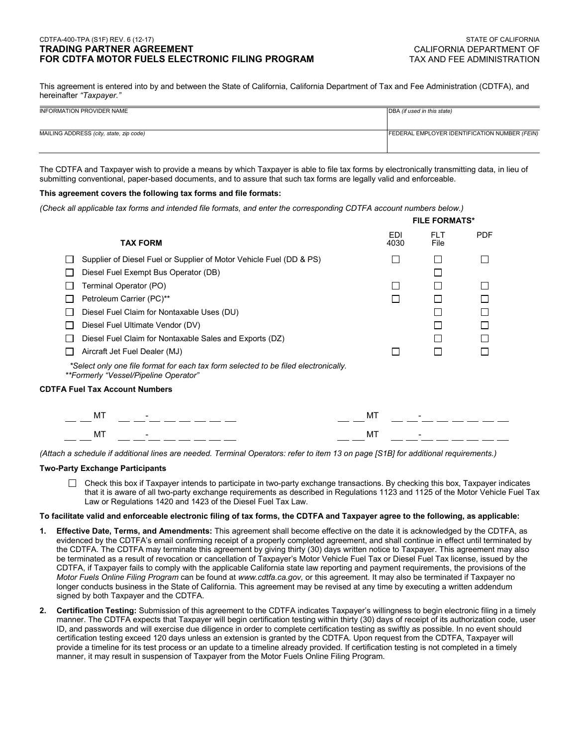# CDTFA-400-TPA (S1F) REV. 6 (12-17) STATE OF CALIFORNIA **TRADING PARTNER AGREEMENT FOR CDTFA MOTOR FUELS ELECTRONIC FILING PROGRAM**

This agreement is entered into by and between the State of California, California Department of Tax and Fee Administration (CDTFA), and hereinafter *"Taxpayer."*

| INFORMATION PROVIDER NAME               | DBA (if used in this state)                   |
|-----------------------------------------|-----------------------------------------------|
|                                         |                                               |
| MAILING ADDRESS (city, state, zip code) | FEDERAL EMPLOYER IDENTIFICATION NUMBER (FEIN) |
|                                         |                                               |

The CDTFA and Taxpayer wish to provide a means by which Taxpayer is able to file tax forms by electronically transmitting data, in lieu of submitting conventional, paper-based documents, and to assure that such tax forms are legally valid and enforceable.

# **This agreement covers the following tax forms and file formats:**

*(Check all applicable tax forms and intended file formats, and enter the corresponding CDTFA account numbers below.)* 

| <b>TAX FORM</b>                                                                                                              | <b>EDI</b> | <b>FLT</b><br>File | <b>PDF</b>                   |
|------------------------------------------------------------------------------------------------------------------------------|------------|--------------------|------------------------------|
| Supplier of Diesel Fuel or Supplier of Motor Vehicle Fuel (DD & PS)                                                          |            |                    |                              |
| Diesel Fuel Exempt Bus Operator (DB)                                                                                         |            |                    |                              |
| Terminal Operator (PO)                                                                                                       |            |                    |                              |
| Petroleum Carrier (PC)**                                                                                                     |            |                    |                              |
| Diesel Fuel Claim for Nontaxable Uses (DU)                                                                                   |            |                    |                              |
| Diesel Fuel Ultimate Vendor (DV)                                                                                             |            |                    |                              |
| Diesel Fuel Claim for Nontaxable Sales and Exports (DZ)                                                                      |            |                    |                              |
| Aircraft Jet Fuel Dealer (MJ)                                                                                                |            |                    |                              |
| *Select only one file format for each tax form selected to be filed electronically.<br>**Formerly "Vessel/Pipeline Operator" |            |                    |                              |
| <b>CDTFA Fuel Tax Account Numbers</b>                                                                                        |            |                    |                              |
|                                                                                                                              |            |                    |                              |
| МT                                                                                                                           | МT         |                    |                              |
| MT                                                                                                                           | МT         |                    |                              |
|                                                                                                                              |            |                    | <b>FILE FORMATS*</b><br>4030 |

*(Attach a schedule if additional lines are needed. Terminal Operators: refer to item 13 on page [S1B] for additional requirements.)*

# **Two-Party Exchange Participants**

 $\Box$  Check this box if Taxpayer intends to participate in two-party exchange transactions. By checking this box, Taxpayer indicates that it is aware of all two-party exchange requirements as described in Regulations 1123 and 1125 of the Motor Vehicle Fuel Tax Law or Regulations 1420 and 1423 of the Diesel Fuel Tax Law.

## **To facilitate valid and enforceable electronic filing of tax forms, the CDTFA and Taxpayer agree to the following, as applicable:**

- **1. Effective Date, Terms, and Amendments:** This agreement shall become effective on the date it is acknowledged by the CDTFA, as evidenced by the CDTFA's email confirming receipt of a properly completed agreement, and shall continue in effect until terminated by the CDTFA. The CDTFA may terminate this agreement by giving thirty (30) days written notice to Taxpayer. This agreement may also be terminated as a result of revocation or cancellation of Taxpayer's Motor Vehicle Fuel Tax or Diesel Fuel Tax license, issued by the CDTFA, if Taxpayer fails to comply with the applicable California state law reporting and payment requirements, the provisions of the *Motor Fuels Online Filing Program* can be found at *<www.cdtfa.ca.gov>,* or this agreement. It may also be terminated if Taxpayer no longer conducts business in the State of California. This agreement may be revised at any time by executing a written addendum signed by both Taxpayer and the CDTFA.
- **2. Certification Testing:** Submission of this agreement to the CDTFA indicates Taxpayer's willingness to begin electronic filing in a timely manner. The CDTFA expects that Taxpayer will begin certification testing within thirty (30) days of receipt of its authorization code, user ID, and passwords and will exercise due diligence in order to complete certification testing as swiftly as possible. In no event should certification testing exceed 120 days unless an extension is granted by the CDTFA. Upon request from the CDTFA, Taxpayer will provide a timeline for its test process or an update to a timeline already provided. If certification testing is not completed in a timely manner, it may result in suspension of Taxpayer from the Motor Fuels Online Filing Program.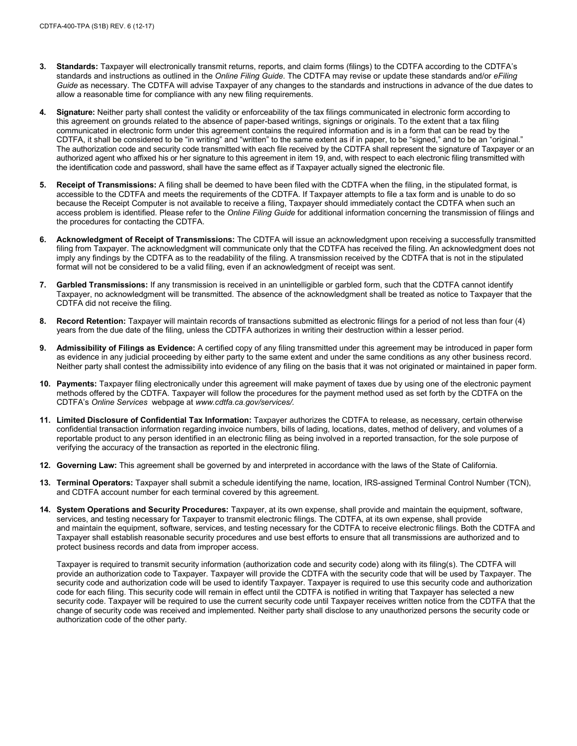- **3. Standards:** Taxpayer will electronically transmit returns, reports, and claim forms (filings) to the CDTFA according to the CDTFA's standards and instructions as outlined in the *Online Filing Guide*. The CDTFA may revise or update these standards and/or *eFiling Guide* as necessary. The CDTFA will advise Taxpayer of any changes to the standards and instructions in advance of the due dates to allow a reasonable time for compliance with any new filing requirements.
- **4. Signature:** Neither party shall contest the validity or enforceability of the tax filings communicated in electronic form according to this agreement on grounds related to the absence of paper-based writings, signings or originals. To the extent that a tax filing communicated in electronic form under this agreement contains the required information and is in a form that can be read by the CDTFA, it shall be considered to be "in writing" and "written" to the same extent as if in paper, to be "signed," and to be an "original." The authorization code and security code transmitted with each file received by the CDTFA shall represent the signature of Taxpayer or an authorized agent who affixed his or her signature to this agreement in item 19, and, with respect to each electronic filing transmitted with the identification code and password, shall have the same effect as if Taxpayer actually signed the electronic file.
- **5. Receipt of Transmissions:** A filing shall be deemed to have been filed with the CDTFA when the filing, in the stipulated format, is accessible to the CDTFA and meets the requirements of the CDTFA. If Taxpayer attempts to file a tax form and is unable to do so because the Receipt Computer is not available to receive a filing, Taxpayer should immediately contact the CDTFA when such an access problem is identified. Please refer to the *Online Filing Guide* for additional information concerning the transmission of filings and the procedures for contacting the CDTFA.
- **6. Acknowledgment of Receipt of Transmissions:** The CDTFA will issue an acknowledgment upon receiving a successfully transmitted filing from Taxpayer. The acknowledgment will communicate only that the CDTFA has received the filing. An acknowledgment does not imply any findings by the CDTFA as to the readability of the filing. A transmission received by the CDTFA that is not in the stipulated format will not be considered to be a valid filing, even if an acknowledgment of receipt was sent.
- **7. Garbled Transmissions:** If any transmission is received in an unintelligible or garbled form, such that the CDTFA cannot identify Taxpayer, no acknowledgment will be transmitted. The absence of the acknowledgment shall be treated as notice to Taxpayer that the CDTFA did not receive the filing.
- **8. Record Retention:** Taxpayer will maintain records of transactions submitted as electronic filings for a period of not less than four (4) years from the due date of the filing, unless the CDTFA authorizes in writing their destruction within a lesser period.
- **9. Admissibility of Filings as Evidence:** A certified copy of any filing transmitted under this agreement may be introduced in paper form as evidence in any judicial proceeding by either party to the same extent and under the same conditions as any other business record. Neither party shall contest the admissibility into evidence of any filing on the basis that it was not originated or maintained in paper form.
- **10. Payments:** Taxpayer filing electronically under this agreement will make payment of taxes due by using one of the electronic payment methods offered by the CDTFA. Taxpayer will follow the procedures for the payment method used as set forth by the CDTFA on the CDTFA's *Online Services* webpage at *[www.cdtfa.ca.gov/services/.](www.cdtfa.ca.gov/services/)*
- **11. Limited Disclosure of Confidential Tax Information:** Taxpayer authorizes the CDTFA to release, as necessary, certain otherwise confidential transaction information regarding invoice numbers, bills of lading, locations, dates, method of delivery, and volumes of a reportable product to any person identified in an electronic filing as being involved in a reported transaction, for the sole purpose of verifying the accuracy of the transaction as reported in the electronic filing.
- **12. Governing Law:** This agreement shall be governed by and interpreted in accordance with the laws of the State of California.
- **13. Terminal Operators:** Taxpayer shall submit a schedule identifying the name, location, IRS-assigned Terminal Control Number (TCN), and CDTFA account number for each terminal covered by this agreement.
- **14. System Operations and Security Procedures:** Taxpayer, at its own expense, shall provide and maintain the equipment, software, services, and testing necessary for Taxpayer to transmit electronic filings. The CDTFA, at its own expense, shall provide and maintain the equipment, software, services, and testing necessary for the CDTFA to receive electronic filings. Both the CDTFA and Taxpayer shall establish reasonable security procedures and use best efforts to ensure that all transmissions are authorized and to protect business records and data from improper access.

Taxpayer is required to transmit security information (authorization code and security code) along with its filing(s). The CDTFA will provide an authorization code to Taxpayer. Taxpayer will provide the CDTFA with the security code that will be used by Taxpayer. The security code and authorization code will be used to identify Taxpayer. Taxpayer is required to use this security code and authorization code for each filing. This security code will remain in effect until the CDTFA is notified in writing that Taxpayer has selected a new security code. Taxpayer will be required to use the current security code until Taxpayer receives written notice from the CDTFA that the change of security code was received and implemented. Neither party shall disclose to any unauthorized persons the security code or authorization code of the other party.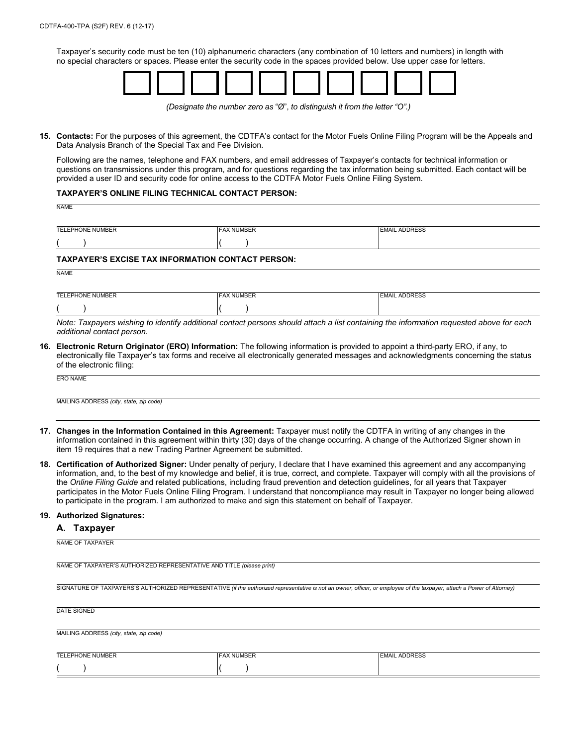Taxpayer's security code must be ten (10) alphanumeric characters (any combination of 10 letters and numbers) in length with no special characters or spaces. Please enter the security code in the spaces provided below. Use upper case for letters.



*(Designate the number zero as* "Ø", *to distinguish it from the letter "O".)*

**15. Contacts:** For the purposes of this agreement, the CDTFA's contact for the Motor Fuels Online Filing Program will be the Appeals and Data Analysis Branch of the Special Tax and Fee Division.

 Following are the names, telephone and FAX numbers, and email addresses of Taxpayer's contacts for technical information or questions on transmissions under this program, and for questions regarding the tax information being submitted. Each contact will be provided a user ID and security code for online access to the CDTFA Motor Fuels Online Filing System.

## **TAXPAYER'S ONLINE FILING TECHNICAL CONTACT PERSON:**

| NAME                    |                   |                      |
|-------------------------|-------------------|----------------------|
| <b>TELEPHONE NUMBER</b> | <b>FAX NUMBER</b> | <b>EMAIL ADDRESS</b> |
|                         |                   |                      |

## **TAXPAYER'S EXCISE TAX INFORMATION CONTACT PERSON:**

NAME

| TELEPHONE NUMBER | <b>FAX NUMBER</b> | <b>ADDRESS</b><br>FMAI |
|------------------|-------------------|------------------------|
|                  |                   |                        |

*Note: Taxpayers wishing to identify additional contact persons should attach a list containing the information requested above for each additional contact person.*

**16. Electronic Return Originator (ERO) Information:** The following information is provided to appoint a third-party ERO, if any, to electronically file Taxpayer's tax forms and receive all electronically generated messages and acknowledgments concerning the status of the electronic filing:

ERO NAME

MAILING ADDRESS *(city, state, zip code)*

- **17. Changes in the Information Contained in this Agreement:** Taxpayer must notify the CDTFA in writing of any changes in the information contained in this agreement within thirty (30) days of the change occurring. A change of the Authorized Signer shown in item 19 requires that a new Trading Partner Agreement be submitted.
- **18. Certification of Authorized Signer:** Under penalty of perjury, I declare that I have examined this agreement and any accompanying information, and, to the best of my knowledge and belief, it is true, correct, and complete. Taxpayer will comply with all the provisions of the *Online Filing Guide* and related publications, including fraud prevention and detection guidelines, for all years that Taxpayer participates in the Motor Fuels Online Filing Program. I understand that noncompliance may result in Taxpayer no longer being allowed to participate in the program. I am authorized to make and sign this statement on behalf of Taxpayer.

### **19. Authorized Signatures:**

### **A. Taxpayer**

NAME OF TAXPAYER'S AUTHORIZED REPRESENTATIVE AND TITLE *(please print)*

SIGNATURE OF TAXPAYERS'S AUTHORIZED REPRESENTATIVE *(if the authorized representative is not an owner, officer, or employee of the taxpayer, attach a Power of Attorney)*

| DATE SIGNED                             |  |  |
|-----------------------------------------|--|--|
|                                         |  |  |
|                                         |  |  |
|                                         |  |  |
| MAILING ADDRESS (city, state, zip code) |  |  |

| <b>TELEPHONE NUMBER</b> | <b>FAX NUMBER</b> | <b>EMAIL ADDRESS</b> |
|-------------------------|-------------------|----------------------|
|                         |                   |                      |